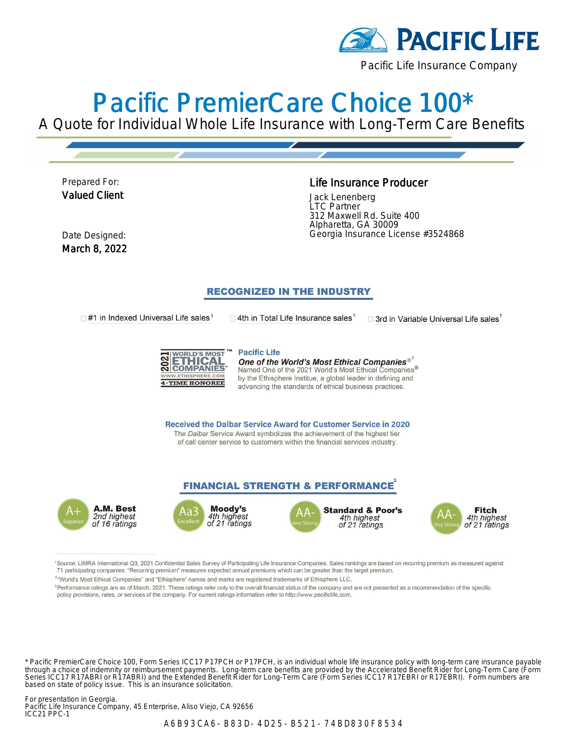

# Pacific PremierCare Choice 100\*

A Quote for Individual Whole Life Insurance with Long-Term Care Benefits

Prepared For: Valued Client

#### Life Insurance Producer

Jack Lenenberg LTC Partner 312 Maxwell Rd. Suite 400 Alpharetta, GA 30009 Date Designed: Georgia Insurance License #3524868

March 8, 2022

### **RECOGNIZED IN THE INDUSTRY**

 $\Box$ #1 in Indexed Universal Life sales<sup>1</sup>

 $\Box$  4th in Total Life Insurance sales<sup>1</sup>

 $\square$  3rd in Variable Universal Life sales



**Pacific Life** One of the World's Most Ethical Companies® Named One of the 2021 World's Most Ethical Companies $^\circledR$ by the Ethisphere Institue, a global leader in defining and advancing the standards of ethical business practices.

**Received the Dalbar Service Award for Customer Service in 2020** The Dalbar Service Award symbolizes the achievement of the highest tier of call center service to customers within the financial services industry.

### **FINANCIAL STRENGTH & PERFORMANCE**









1Source: LIMRA International Q3, 2021 Confidential Sales Survey of Participating Life Insurance Companies. Sales rankings are based on recurring premium as measured against 71 participating companies. "Recurring premium" measures expected annual premiums which can be greater than the target premium.

<sup>2</sup>"World's Most Ethical Companies" and "Ethisphere" names and marks are registered trademarks of Ethisphere LLC.

<sup>3</sup>Performance ratings are as of March, 2021. These ratings refer only to the overall financial status of the company and are not presented as a recommendation of the specific policy provisions, rates, or services of the company. For current ratings information refer to http://www.pacificlife.com.

\* Pacific PremierCare Choice 100, Form Series ICC17 P17PCH or P17PCH, is an individual whole life insurance policy with long-term care insurance payable through a choice of indemnity or reimbursement payments. Long-term care benefits are provided by the Accelerated Benefit Rider for Long-Term Care (Form Series ICC17 R17ABRI or R17ABRI) and the Extended Benefit Rider for Long-Term Care (Form Series ICC17 R17EBRI or R17EBRI). Form numbers are based on state of policy issue. This is an insurance solicitation.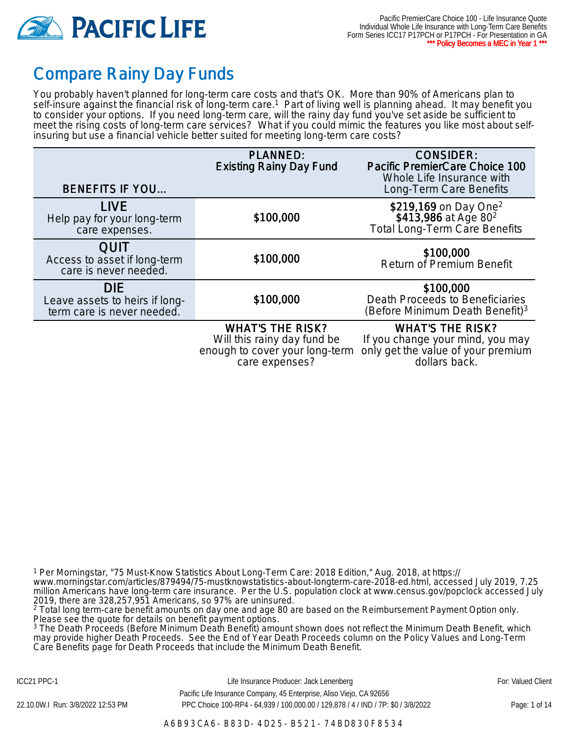

## Compare Rainy Day Funds

You probably haven't planned for long-term care costs and that's OK. More than 90% of Americans plan to self-insure against the financial risk of long-term care.<sup>1</sup> Part of living well is planning ahead. It may benefit you to consider your options. If you need long-term care, will the rainy day fund you've set aside be sufficient to meet the rising costs of long-term care services? What if you could mimic the features you like most about selfinsuring but use a financial vehicle better suited for meeting long-term care costs?

| <b>BENEFITS IF YOU</b>                                                     | <b>PLANNED:</b><br><b>Existing Rainy Day Fund</b>                                        | <b>CONSIDER:</b><br>Pacific PremierCare Choice 100<br>Whole Life Insurance with<br>Long-Term Care Benefits |
|----------------------------------------------------------------------------|------------------------------------------------------------------------------------------|------------------------------------------------------------------------------------------------------------|
| <b>LIVE</b><br>Help pay for your long-term<br>care expenses.               | \$100,000                                                                                | \$219,169 on Day One <sup>2</sup><br>\$413,986 at Age 80 <sup>2</sup><br>Total Long-Term Care Benefits     |
| <b>QUIT</b><br>Access to asset if long-term<br>care is never needed.       | \$100,000                                                                                | \$100,000<br><b>Return of Premium Benefit</b>                                                              |
| <b>DIE</b><br>Leave assets to heirs if long-<br>term care is never needed. | \$100,000                                                                                | \$100,000<br>Death Proceeds to Beneficiaries<br>(Before Minimum Death Benefit) <sup>3</sup>                |
|                                                                            | <b>WHAT'S THE RISK?</b><br>Will this rainy day fund be<br>enough to cover your long-term | <b>WHAT'S THE RISK?</b><br>If you change your mind, you may<br>only get the value of your premium          |

care expenses?

dollars back.

1 Per Morningstar, "75 Must-Know Statistics About Long-Term Care: 2018 Edition," Aug. 2018, at https:// www.morningstar.com/articles/879494/75-mustknowstatistics-about-longterm-care-2018-ed.html, accessed July 2019, 7.25 million Americans have long-term care insurance. Per the U.S. population clock at www.census.gov/popclock accessed July 2019, there are 328,257,951 Americans, so 97% are uninsured.

<sup>2</sup> Total long term-care benefit amounts on day one and age 80 are based on the Reimbursement Payment Option only. Please see the quote for details on benefit payment options.

3 The Death Proceeds (Before Minimum Death Benefit) amount shown does not reflect the Minimum Death Benefit, which may provide higher Death Proceeds. See the End of Year Death Proceeds column on the Policy Values and Long-Term Care Benefits page for Death Proceeds that include the Minimum Death Benefit.

ICC21 PPC-1 **Example 20 For: Valued Client** Life Insurance Producer: Jack Lenenberg **Fore For: Valued Client**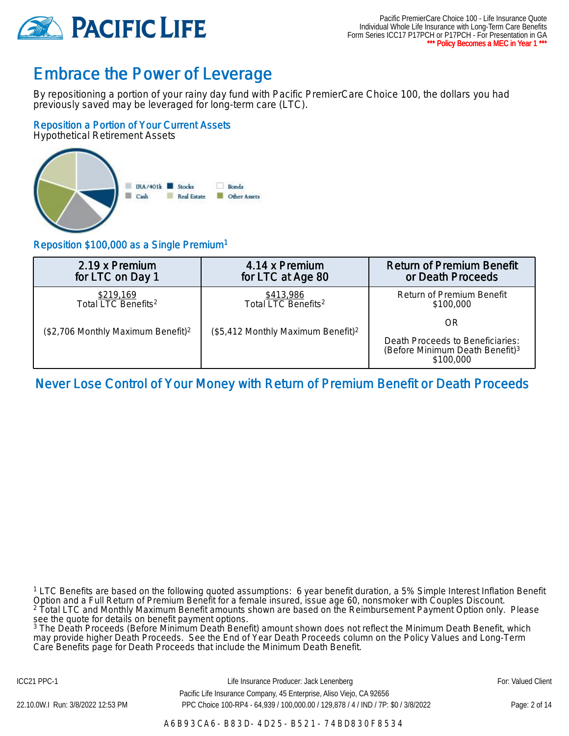

## Embrace the Power of Leverage

By repositioning a portion of your rainy day fund with Pacific PremierCare Choice 100, the dollars you had previously saved may be leveraged for long-term care (LTC).

### Reposition a Portion of Your Current Assets

Hypothetical Retirement Assets



### Reposition \$100,000 as a Single Premium<sup>1</sup>

| 2.19 x Premium                                 | 4.14 x Premium                                 | <b>Return of Premium Benefit</b>                                                             |  |
|------------------------------------------------|------------------------------------------------|----------------------------------------------------------------------------------------------|--|
| for LTC on Day 1                               | for LTC at Age 80                              | or Death Proceeds                                                                            |  |
| \$219,169                                      | \$413,986                                      | Return of Premium Benefit                                                                    |  |
| Total LTC Benefits <sup>2</sup>                | Total LTC Benefits <sup>2</sup>                | \$100,000                                                                                    |  |
| (\$2,706 Monthly Maximum Benefit) <sup>2</sup> | (\$5,412 Monthly Maximum Benefit) <sup>2</sup> | OR                                                                                           |  |
|                                                |                                                | Death Proceeds to Beneficiaries:<br>(Before Minimum Death Benefit) <sup>3</sup><br>\$100,000 |  |

### Never Lose Control of Your Money with Return of Premium Benefit or Death Proceeds

<sup>1</sup> LTC Benefits are based on the following quoted assumptions: 6 year benefit duration, a 5% Simple Interest Inflation Benefit Option and a Full Return of Premium Benefit for a female insured, issue age 60, nonsmoker with Couples Discount. 2 Total LTC and Monthly Maximum Benefit amounts shown are based on the Reimbursement Payment Option only. Please

see the quote for details on benefit payment options.<br><sup>3</sup> The Death Proceeds (Before Minimum Death Benefit) amount shown does not reflect the Minimum Death Benefit, which may provide higher Death Proceeds. See the End of Year Death Proceeds column on the Policy Values and Long-Term Care Benefits page for Death Proceeds that include the Minimum Death Benefit.

ICC21 PPC-1 **Example 20 For: Valued Client** Life Insurance Producer: Jack Lenenberg **Fore For: Valued Client** Pacific Life Insurance Company, 45 Enterprise, Aliso Viejo, CA 92656 22.10.0W.I Run: 3/8/2022 12:53 PM PPC Choice 100-RP4 - 64,939 / 100,000.00 / 129,878 / 4 / IND / 7P: \$0 / 3/8/2022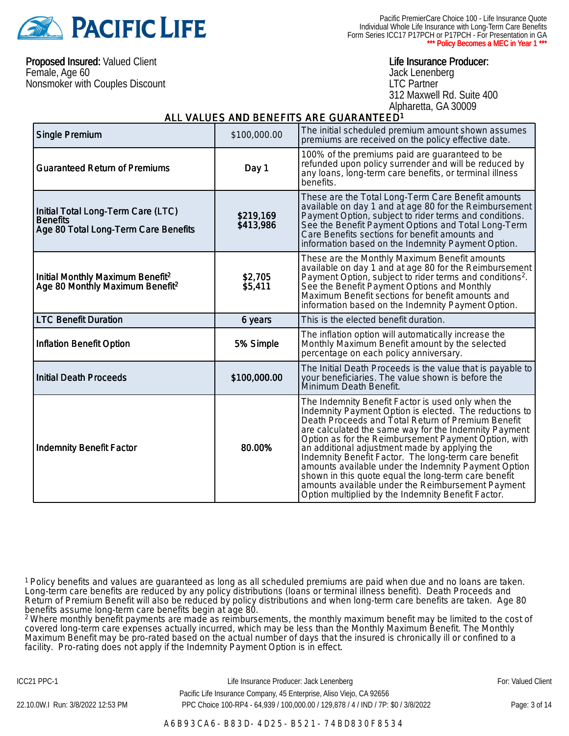

Pacific PremierCare Choice 100 - Life Insurance Quote Individual Whole Life Insurance with Long-Term Care Benefits Form Series ICC17 P17PCH or P17PCH - For Presentation in GA \* Policy Becomes a MEC in Year 1 \*

Proposed Insured: Valued Client Female, Age 60 Nonsmoker with Couples Discount

#### Life Insurance Producer:

Jack Lenenberg LTC Partner 312 Maxwell Rd. Suite 400 Alpharetta, GA 30009

#### ALL VALUES AND BENEFITS ARE GUARANTEED<sup>1</sup>

| <b>Single Premium</b>                                                                         | \$100,000.00           | The initial scheduled premium amount shown assumes<br>premiums are received on the policy effective date.                                                                                                                                                                                                                                                                                                                                                                                                                                                                                                               |
|-----------------------------------------------------------------------------------------------|------------------------|-------------------------------------------------------------------------------------------------------------------------------------------------------------------------------------------------------------------------------------------------------------------------------------------------------------------------------------------------------------------------------------------------------------------------------------------------------------------------------------------------------------------------------------------------------------------------------------------------------------------------|
| <b>Guaranteed Return of Premiums</b>                                                          | Day 1                  | 100% of the premiums paid are guaranteed to be<br>refunded upon policy surrender and will be reduced by<br>any loans, long-term care benefits, or terminal illness<br>benefits.                                                                                                                                                                                                                                                                                                                                                                                                                                         |
| Initial Total Long-Term Care (LTC)<br><b>Benefits</b><br>Age 80 Total Long-Term Care Benefits | \$219,169<br>\$413,986 | These are the Total Long-Term Care Benefit amounts<br>available on day 1 and at age 80 for the Reimbursement<br>Payment Option, subject to rider terms and conditions.<br>See the Benefit Payment Options and Total Long-Term<br>Care Benefits sections for benefit amounts and<br>information based on the Indemnity Payment Option.                                                                                                                                                                                                                                                                                   |
| Initial Monthly Maximum Benefit <sup>2</sup><br>Age 80 Monthly Maximum Benefit <sup>2</sup>   | \$2,705<br>\$5,411     | These are the Monthly Maximum Benefit amounts<br>available on day 1 and at age 80 for the Reimbursement<br>Payment Option, subject to rider terms and conditions <sup>2</sup> .<br>See the Benefit Payment Options and Monthly<br>Maximum Benefit sections for benefit amounts and<br>information based on the Indemnity Payment Option.                                                                                                                                                                                                                                                                                |
| <b>LTC Benefit Duration</b>                                                                   | 6 years                | This is the elected benefit duration.                                                                                                                                                                                                                                                                                                                                                                                                                                                                                                                                                                                   |
| <b>Inflation Benefit Option</b>                                                               | 5% Simple              | The inflation option will automatically increase the<br>Monthly Maximum Benefit amount by the selected<br>percentage on each policy anniversary.                                                                                                                                                                                                                                                                                                                                                                                                                                                                        |
| <b>Initial Death Proceeds</b>                                                                 | \$100,000.00           | The Initial Death Proceeds is the value that is payable to<br>your beneficiaries. The value shown is before the<br>Minimum Death Benefit.                                                                                                                                                                                                                                                                                                                                                                                                                                                                               |
| <b>Indemnity Benefit Factor</b>                                                               | 80.00%                 | The Indemnity Benefit Factor is used only when the<br>Indemnity Payment Option is elected. The reductions to<br>Death Proceeds and Total Return of Premium Benefit<br>are calculated the same way for the Indemnity Payment<br>Option as for the Reimbursement Payment Option, with<br>an additional adjustment made by applying the<br>Indemnity Benefit Factor. The long-term care benefit<br>amounts available under the Indemnity Payment Option<br>shown in this quote equal the long-term care benefit<br>amounts available under the Reimbursement Payment<br>Option multiplied by the Indemnity Benefit Factor. |

<sup>1</sup> Policy benefits and values are guaranteed as long as all scheduled premiums are paid when due and no loans are taken. Long-term care benefits are reduced by any policy distributions (loans or terminal illness benefit). Death Proceeds and Return of Premium Benefit will also be reduced by policy distributions and when long-term care benefits are taken. Age 80 benefits assume long-term care benefits begin at age 80.

<sup>2</sup> Where monthly benefit payments are made as reimbursements, the monthly maximum benefit may be limited to the cost of covered long-term care expenses actually incurred, which may be less than the Monthly Maximum Benefit. The Monthly Maximum Benefit may be pro-rated based on the actual number of days that the insured is chronically ill or confined to a facility. Pro-rating does not apply if the Indemnity Payment Option is in effect.

ICC21 PPC-1 **Example 20 For: Valued Client** Life Insurance Producer: Jack Lenenberg **Fore For: Valued Client**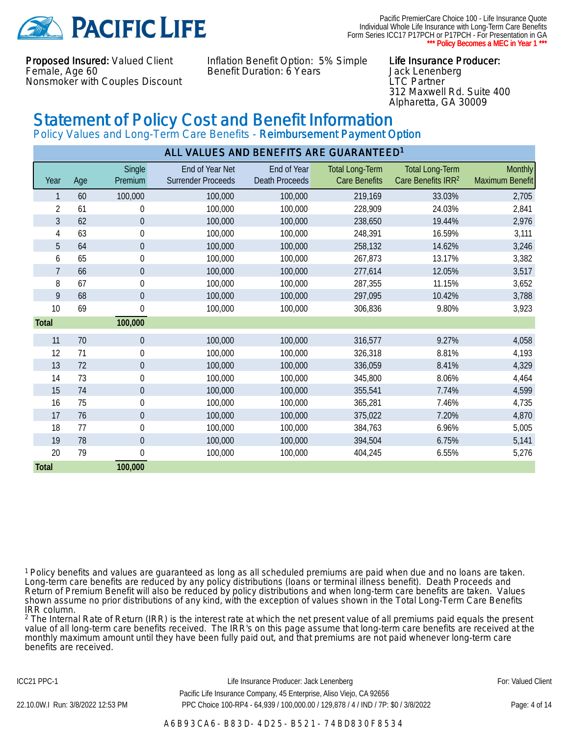

Pacific PremierCare Choice 100 - Life Insurance Quote Individual Whole Life Insurance with Long-Term Care Benefits Form Series ICC17 P17PCH or P17PCH - For Presentation in GA \* Policy Becomes a MEC in Year 1 \*

Proposed Insured: Valued Client Female, Age 60 Nonsmoker with Couples Discount Inflation Benefit Option: 5% Simple Benefit Duration: 6 Years

#### Life Insurance Producer:

Jack Lenenberg LTC Partner 312 Maxwell Rd. Suite 400 Alpharetta, GA 30009

## Statement of Policy Cost and Benefit Information

Policy Values and Long-Term Care Benefits - Reimbursement Payment Option

|                | ALL VALUES AND BENEFITS ARE GUARANTEED <sup>1</sup> |                   |                                              |                                      |                                                |                                                          |                            |
|----------------|-----------------------------------------------------|-------------------|----------------------------------------------|--------------------------------------|------------------------------------------------|----------------------------------------------------------|----------------------------|
| Year           | Age                                                 | Single<br>Premium | End of Year Net<br><b>Surrender Proceeds</b> | End of Year<br><b>Death Proceeds</b> | <b>Total Long-Term</b><br><b>Care Benefits</b> | <b>Total Long-Term</b><br>Care Benefits IRR <sup>2</sup> | Monthly<br>Maximum Benefit |
| 1              | 60                                                  | 100,000           | 100,000                                      | 100,000                              | 219,169                                        | 33.03%                                                   | 2,705                      |
| $\overline{2}$ | 61                                                  | $\boldsymbol{0}$  | 100,000                                      | 100,000                              | 228,909                                        | 24.03%                                                   | 2,841                      |
| 3              | 62                                                  | $\boldsymbol{0}$  | 100,000                                      | 100,000                              | 238,650                                        | 19.44%                                                   | 2,976                      |
| $\overline{4}$ | 63                                                  | $\mathbf 0$       | 100,000                                      | 100,000                              | 248,391                                        | 16.59%                                                   | 3,111                      |
| 5              | 64                                                  | $\mathbf 0$       | 100,000                                      | 100,000                              | 258,132                                        | 14.62%                                                   | 3,246                      |
| 6              | 65                                                  | $\boldsymbol{0}$  | 100,000                                      | 100,000                              | 267,873                                        | 13.17%                                                   | 3,382                      |
| $\overline{7}$ | 66                                                  | $\theta$          | 100,000                                      | 100,000                              | 277,614                                        | 12.05%                                                   | 3,517                      |
| 8              | 67                                                  | $\boldsymbol{0}$  | 100,000                                      | 100,000                              | 287,355                                        | 11.15%                                                   | 3,652                      |
| 9              | 68                                                  | $\mathbf 0$       | 100,000                                      | 100,000                              | 297,095                                        | 10.42%                                                   | 3,788                      |
| 10             | 69                                                  | $\mathbf 0$       | 100,000                                      | 100,000                              | 306,836                                        | 9.80%                                                    | 3,923                      |
| Total          |                                                     | 100,000           |                                              |                                      |                                                |                                                          |                            |
| 11             | 70                                                  | $\mathbf 0$       | 100,000                                      | 100,000                              | 316,577                                        | 9.27%                                                    | 4,058                      |
| 12             | 71                                                  | $\boldsymbol{0}$  | 100,000                                      | 100,000                              | 326,318                                        | 8.81%                                                    | 4,193                      |
| 13             | 72                                                  | $\mathbf 0$       | 100,000                                      | 100,000                              | 336,059                                        | 8.41%                                                    | 4,329                      |
| 14             | 73                                                  | $\boldsymbol{0}$  | 100,000                                      | 100,000                              | 345,800                                        | 8.06%                                                    | 4,464                      |
| 15             | 74                                                  | $\boldsymbol{0}$  | 100,000                                      | 100,000                              | 355,541                                        | 7.74%                                                    | 4,599                      |
| 16             | 75                                                  | $\boldsymbol{0}$  | 100,000                                      | 100,000                              | 365,281                                        | 7.46%                                                    | 4,735                      |
| 17             | 76                                                  | $\boldsymbol{0}$  | 100,000                                      | 100,000                              | 375,022                                        | 7.20%                                                    | 4,870                      |
| 18             | 77                                                  | $\boldsymbol{0}$  | 100,000                                      | 100,000                              | 384,763                                        | 6.96%                                                    | 5,005                      |
| 19             | 78                                                  | $\mathbf{0}$      | 100,000                                      | 100,000                              | 394,504                                        | 6.75%                                                    | 5,141                      |
| 20             | 79                                                  | $\boldsymbol{0}$  | 100,000                                      | 100,000                              | 404,245                                        | 6.55%                                                    | 5,276                      |
| Total          |                                                     | 100,000           |                                              |                                      |                                                |                                                          |                            |

<sup>1</sup> Policy benefits and values are guaranteed as long as all scheduled premiums are paid when due and no loans are taken. Long-term care benefits are reduced by any policy distributions (loans or terminal illness benefit). Death Proceeds and Return of Premium Benefit will also be reduced by policy distributions and when long-term care benefits are taken. Values shown assume no prior distributions of any kind, with the exception of values shown in the Total Long-Term Care Benefits IRR column.

<sup>2</sup> The Internal Rate of Return (IRR) is the interest rate at which the net present value of all premiums paid equals the present value of all long-term care benefits received. The IRR's on this page assume that long-term care benefits are received at the monthly maximum amount until they have been fully paid out, and that premiums are not paid whenever long-term care benefits are received.

ICC21 PPC-1 **Example 20 For: Valued Client** Life Insurance Producer: Jack Lenenberg **Fore For: Valued Client**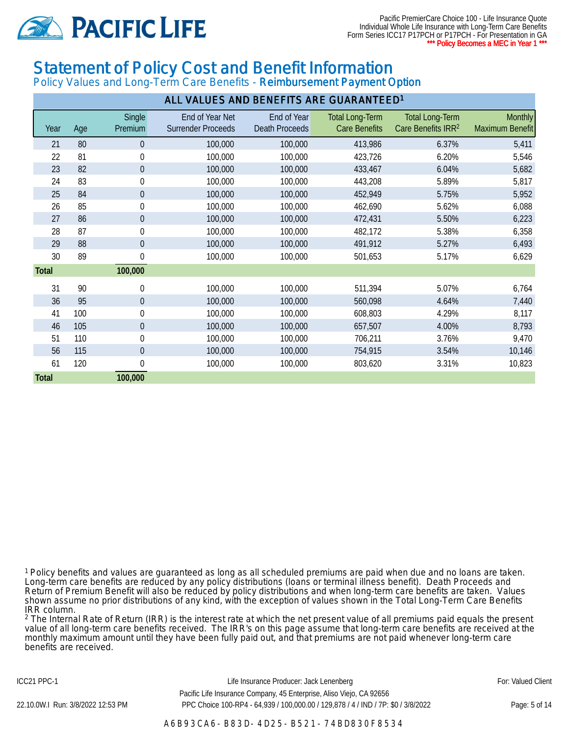

Pacific PremierCare Choice 100 - Life Insurance Quote Individual Whole Life Insurance with Long-Term Care Benefits Form Series ICC17 P17PCH or P17PCH - For Presentation in GA \* Policy Becomes a MEC in Year 1 \*

## Statement of Policy Cost and Benefit Information

Policy Values and Long-Term Care Benefits - Reimbursement Payment Option

| ALL VALUES AND BENEFITS ARE GUARANTEED <sup>1</sup> |     |                   |                                              |                                      |                                                |                                                          |                                   |
|-----------------------------------------------------|-----|-------------------|----------------------------------------------|--------------------------------------|------------------------------------------------|----------------------------------------------------------|-----------------------------------|
| Year                                                | Age | Single<br>Premium | End of Year Net<br><b>Surrender Proceeds</b> | End of Year<br><b>Death Proceeds</b> | <b>Total Long-Term</b><br><b>Care Benefits</b> | <b>Total Long-Term</b><br>Care Benefits IRR <sup>2</sup> | <b>Monthly</b><br>Maximum Benefit |
| 21                                                  | 80  | 0                 | 100,000                                      | 100,000                              | 413,986                                        | 6.37%                                                    | 5,411                             |
| 22                                                  | 81  | $\boldsymbol{0}$  | 100,000                                      | 100,000                              | 423,726                                        | 6.20%                                                    | 5,546                             |
| 23                                                  | 82  | $\pmb{0}$         | 100,000                                      | 100,000                              | 433,467                                        | 6.04%                                                    | 5,682                             |
| 24                                                  | 83  | $\pmb{0}$         | 100,000                                      | 100,000                              | 443,208                                        | 5.89%                                                    | 5,817                             |
| 25                                                  | 84  | $\boldsymbol{0}$  | 100,000                                      | 100,000                              | 452,949                                        | 5.75%                                                    | 5,952                             |
| 26                                                  | 85  | $\pmb{0}$         | 100,000                                      | 100,000                              | 462,690                                        | 5.62%                                                    | 6,088                             |
| 27                                                  | 86  | $\pmb{0}$         | 100,000                                      | 100,000                              | 472,431                                        | 5.50%                                                    | 6,223                             |
| 28                                                  | 87  | $\pmb{0}$         | 100,000                                      | 100,000                              | 482,172                                        | 5.38%                                                    | 6,358                             |
| 29                                                  | 88  | $\boldsymbol{0}$  | 100,000                                      | 100,000                              | 491,912                                        | 5.27%                                                    | 6,493                             |
| 30                                                  | 89  | $\boldsymbol{0}$  | 100,000                                      | 100,000                              | 501,653                                        | 5.17%                                                    | 6,629                             |
| Total                                               |     | 100,000           |                                              |                                      |                                                |                                                          |                                   |
| 31                                                  | 90  | 0                 | 100,000                                      | 100,000                              | 511,394                                        | 5.07%                                                    | 6,764                             |
| 36                                                  | 95  | $\boldsymbol{0}$  | 100,000                                      | 100,000                              | 560,098                                        | 4.64%                                                    | 7,440                             |
| 41                                                  | 100 | $\boldsymbol{0}$  | 100,000                                      | 100,000                              | 608,803                                        | 4.29%                                                    | 8,117                             |
| 46                                                  | 105 | $\pmb{0}$         | 100,000                                      | 100,000                              | 657,507                                        | 4.00%                                                    | 8,793                             |
| 51                                                  | 110 | $\pmb{0}$         | 100,000                                      | 100,000                              | 706,211                                        | 3.76%                                                    | 9,470                             |
| 56                                                  | 115 | $\boldsymbol{0}$  | 100,000                                      | 100,000                              | 754,915                                        | 3.54%                                                    | 10,146                            |
| 61                                                  | 120 | 0                 | 100,000                                      | 100,000                              | 803,620                                        | 3.31%                                                    | 10,823                            |
| <b>Total</b>                                        |     | 100,000           |                                              |                                      |                                                |                                                          |                                   |

<sup>1</sup> Policy benefits and values are guaranteed as long as all scheduled premiums are paid when due and no loans are taken. Long-term care benefits are reduced by any policy distributions (loans or terminal illness benefit). Death Proceeds and Return of Premium Benefit will also be reduced by policy distributions and when long-term care benefits are taken. Values shown assume no prior distributions of any kind, with the exception of values shown in the Total Long-Term Care Benefits IRR column.

<sup>2</sup> The Internal Rate of Return (IRR) is the interest rate at which the net present value of all premiums paid equals the present value of all long-term care benefits received. The IRR's on this page assume that long-term care benefits are received at the monthly maximum amount until they have been fully paid out, and that premiums are not paid whenever long-term care benefits are received.

ICC21 PPC-1 **Example 20 For: Valued Client** Life Insurance Producer: Jack Lenenberg **Fore For: Valued Client**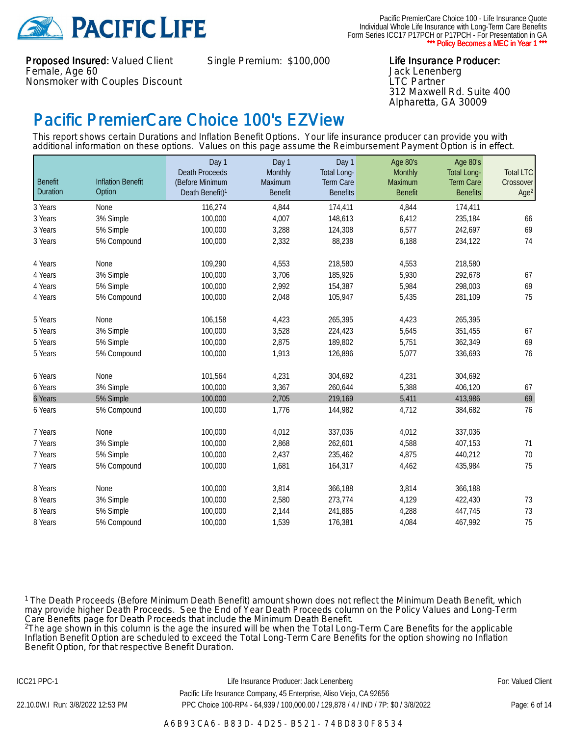

Proposed Insured: Valued Client Female, Age 60 Nonsmoker with Couples Discount

Single Premium: \$100,000 Life Insurance Producer:

Jack Lenenberg LTC Partner 312 Maxwell Rd. Suite 400 Alpharetta, GA 30009

## Pacific PremierCare Choice 100's EZView

This report shows certain Durations and Inflation Benefit Options. Your life insurance producer can provide you with additional information on these options. Values on this page assume the Reimbursement Payment Option is in effect.

| <b>Benefit</b><br>Duration | <b>Inflation Benefit</b><br>Option | Day 1<br><b>Death Proceeds</b><br>(Before Minimum | Day 1<br>Monthly<br>Maximum | Day 1<br>Total Long-<br>Term Care | Age 80's<br>Monthly<br><b>Maximum</b> | Age 80's<br><b>Total Long-</b><br><b>Term Care</b> | <b>Total LTC</b><br>Crossover |
|----------------------------|------------------------------------|---------------------------------------------------|-----------------------------|-----------------------------------|---------------------------------------|----------------------------------------------------|-------------------------------|
|                            |                                    | Death Benefit) <sup>1</sup>                       | <b>Benefit</b>              | <b>Benefits</b>                   | <b>Benefit</b>                        | <b>Benefits</b>                                    | Age <sup>2</sup>              |
| 3 Years                    | None                               | 116,274                                           | 4,844                       | 174,411                           | 4,844                                 | 174,411                                            |                               |
| 3 Years                    | 3% Simple                          | 100,000                                           | 4,007                       | 148,613                           | 6,412                                 | 235,184                                            | 66                            |
| 3 Years                    | 5% Simple                          | 100,000                                           | 3,288                       | 124,308                           | 6,577                                 | 242,697                                            | 69                            |
| 3 Years                    | 5% Compound                        | 100,000                                           | 2,332                       | 88,238                            | 6,188                                 | 234,122                                            | 74                            |
| 4 Years                    | None                               | 109,290                                           | 4,553                       | 218,580                           | 4,553                                 | 218,580                                            |                               |
| 4 Years                    | 3% Simple                          | 100,000                                           | 3,706                       | 185,926                           | 5,930                                 | 292,678                                            | 67                            |
| 4 Years                    | 5% Simple                          | 100,000                                           | 2,992                       | 154,387                           | 5,984                                 | 298,003                                            | 69                            |
| 4 Years                    | 5% Compound                        | 100,000                                           | 2,048                       | 105,947                           | 5,435                                 | 281,109                                            | 75                            |
| 5 Years                    | None                               | 106,158                                           | 4,423                       | 265,395                           | 4,423                                 | 265,395                                            |                               |
| 5 Years                    | 3% Simple                          | 100,000                                           | 3,528                       | 224,423                           | 5,645                                 | 351,455                                            | 67                            |
| 5 Years                    | 5% Simple                          | 100,000                                           | 2,875                       | 189,802                           | 5,751                                 | 362,349                                            | 69                            |
| 5 Years                    | 5% Compound                        | 100,000                                           | 1,913                       | 126,896                           | 5,077                                 | 336,693                                            | 76                            |
| 6 Years                    | None                               | 101,564                                           | 4,231                       | 304,692                           | 4,231                                 | 304,692                                            |                               |
| 6 Years                    | 3% Simple                          | 100,000                                           | 3,367                       | 260,644                           | 5,388                                 | 406,120                                            | 67                            |
| 6 Years                    | 5% Simple                          | 100,000                                           | 2,705                       | 219,169                           | 5,411                                 | 413,986                                            | 69                            |
| 6 Years                    | 5% Compound                        | 100,000                                           | 1,776                       | 144,982                           | 4,712                                 | 384,682                                            | 76                            |
| 7 Years                    | None                               | 100,000                                           | 4,012                       | 337,036                           | 4,012                                 | 337,036                                            |                               |
| 7 Years                    | 3% Simple                          | 100,000                                           | 2,868                       | 262,601                           | 4,588                                 | 407,153                                            | 71                            |
| 7 Years                    | 5% Simple                          | 100,000                                           | 2,437                       | 235,462                           | 4,875                                 | 440,212                                            | 70                            |
| 7 Years                    | 5% Compound                        | 100,000                                           | 1,681                       | 164,317                           | 4,462                                 | 435,984                                            | 75                            |
| 8 Years                    | None                               | 100,000                                           | 3,814                       | 366,188                           | 3,814                                 | 366,188                                            |                               |
| 8 Years                    | 3% Simple                          | 100,000                                           | 2,580                       | 273,774                           | 4,129                                 | 422,430                                            | 73                            |
| 8 Years                    | 5% Simple                          | 100,000                                           | 2,144                       | 241,885                           | 4,288                                 | 447,745                                            | 73                            |
| 8 Years                    | 5% Compound                        | 100,000                                           | 1,539                       | 176,381                           | 4,084                                 | 467,992                                            | 75                            |

<sup>1</sup>The Death Proceeds (Before Minimum Death Benefit) amount shown does not reflect the Minimum Death Benefit, which may provide higher Death Proceeds. See the End of Year Death Proceeds column on the Policy Values and Long-Term Care Benefits page for Death Proceeds that include the Minimum Death Benefit.

<sup>2</sup>The age shown in this column is the age the insured will be when the Total Long-Term Care Benefits for the applicable Inflation Benefit Option are scheduled to exceed the Total Long-Term Care Benefits for the option showing no Inflation Benefit Option, for that respective Benefit Duration.

A6B93CA6-B83D-4D25-B521-74BD830F8534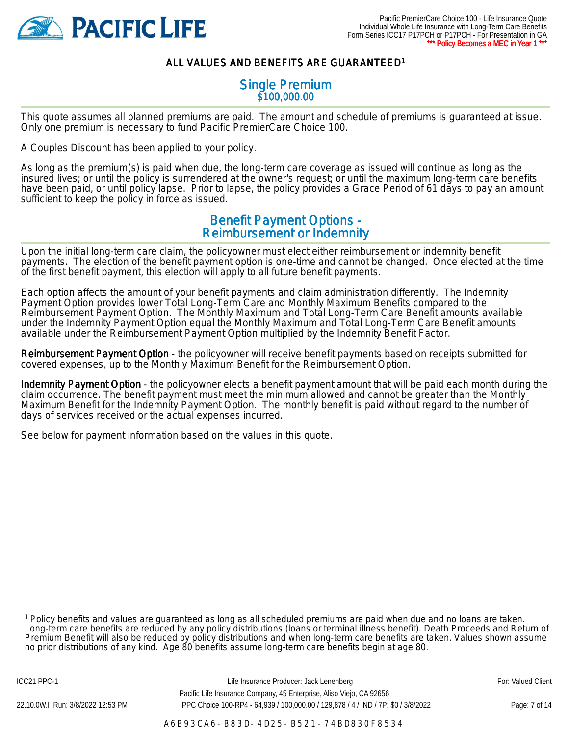

### ALL VALUES AND BENEFITS ARE GUARANTEED<sup>1</sup>

#### Single Premium \$100,000.00

This quote assumes all planned premiums are paid. The amount and schedule of premiums is guaranteed at issue. Only one premium is necessary to fund Pacific PremierCare Choice 100.

A Couples Discount has been applied to your policy.

As long as the premium(s) is paid when due, the long-term care coverage as issued will continue as long as the insured lives; or until the policy is surrendered at the owner's request; or until the maximum long-term care benefits have been paid, or until policy lapse. Prior to lapse, the policy provides a Grace Period of 61 days to pay an amount sufficient to keep the policy in force as issued.

### Benefit Payment Options - Reimbursement or Indemnity

Upon the initial long-term care claim, the policyowner must elect either reimbursement or indemnity benefit payments. The election of the benefit payment option is one-time and cannot be changed. Once elected at the time of the first benefit payment, this election will apply to all future benefit payments.

Each option affects the amount of your benefit payments and claim administration differently. The Indemnity Payment Option provides lower Total Long-Term Care and Monthly Maximum Benefits compared to the Reimbursement Payment Option. The Monthly Maximum and Total Long-Term Care Benefit amounts available under the Indemnity Payment Option equal the Monthly Maximum and Total Long-Term Care Benefit amounts available under the Reimbursement Payment Option multiplied by the Indemnity Benefit Factor.

Reimbursement Payment Option - the policyowner will receive benefit payments based on receipts submitted for covered expenses, up to the Monthly Maximum Benefit for the Reimbursement Option.

Indemnity Payment Option - the policyowner elects a benefit payment amount that will be paid each month during the claim occurrence. The benefit payment must meet the minimum allowed and cannot be greater than the Monthly Maximum Benefit for the Indemnity Payment Option. The monthly benefit is paid without regard to the number of days of services received or the actual expenses incurred.

See below for payment information based on the values in this quote.

<sup>1</sup> Policy benefits and values are guaranteed as long as all scheduled premiums are paid when due and no loans are taken. Long-term care benefits are reduced by any policy distributions (loans or terminal illness benefit). Death Proceeds and Return of Premium Benefit will also be reduced by policy distributions and when long-term care benefits are taken. Values shown assume no prior distributions of any kind. Age 80 benefits assume long-term care benefits begin at age 80.

ICC21 PPC-1 **Example 20 For: Valued Client** Life Insurance Producer: Jack Lenenberg **Fore 20 Forms** For: Valued Client Pacific Life Insurance Company, 45 Enterprise, Aliso Viejo, CA 92656 22.10.0W.I Run: 3/8/2022 12:53 PM PPC Choice 100-RP4 - 64,939 / 100,000.00 / 129,878 / 4 / IND / 7P: \$0 / 3/8/2022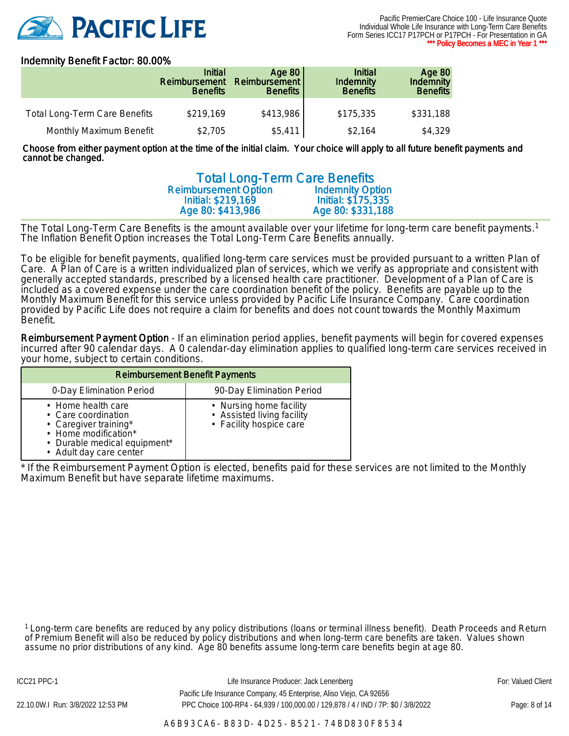

#### Indemnity Benefit Factor: 80.00%

|                                      | <b>Initial</b><br>Reimbursement<br><b>Benefits</b> | Age 80<br>Reimbursement<br><b>Benefits</b> | <b>Initial</b><br><b>Indemnity</b><br><b>Benefits</b> | <b>Age 80</b><br><b>Indemnity</b><br><b>Benefits</b> |
|--------------------------------------|----------------------------------------------------|--------------------------------------------|-------------------------------------------------------|------------------------------------------------------|
| <b>Total Long-Term Care Benefits</b> | \$219,169                                          | \$413,986                                  | \$175,335                                             | \$331,188                                            |
| Monthly Maximum Benefit              | \$2,705                                            | \$5,411                                    | \$2.164                                               | \$4,329                                              |

Choose from either payment option at the time of the initial claim. Your choice will apply to all future benefit payments and cannot be changed.

| <b>Total Long-Term Care Benefits</b> |                         |
|--------------------------------------|-------------------------|
| <b>Reimbursement Option</b>          | <b>Indemnity Option</b> |
| Initial: \$219,169                   | Initial: \$175,335      |
| Age 80: \$413,986                    | Age 80: \$331,188       |

The Total Long-Term Care Benefits is the amount available over your lifetime for long-term care benefit payments.<sup>1</sup> The Inflation Benefit Option increases the Total Long-Term Care Benefits annually.

To be eligible for benefit payments, qualified long-term care services must be provided pursuant to a written Plan of Care. A Plan of Care is a written individualized plan of services, which we verify as appropriate and consistent with generally accepted standards, prescribed by a licensed health care practitioner. Development of a Plan of Care is included as a covered expense under the care coordination benefit of the policy. Benefits are payable up to the Monthly Maximum Benefit for this service unless provided by Pacific Life Insurance Company. Care coordination provided by Pacific Life does not require a claim for benefits and does not count towards the Monthly Maximum Benefit.

Reimbursement Payment Option - If an elimination period applies, benefit payments will begin for covered expenses incurred after 90 calendar days. A 0 calendar-day elimination applies to qualified long-term care services received in your home, subject to certain conditions.

| <b>Reimbursement Benefit Payments</b>                                                                                                                 |                                                                                  |  |  |  |
|-------------------------------------------------------------------------------------------------------------------------------------------------------|----------------------------------------------------------------------------------|--|--|--|
| 0-Day Elimination Period                                                                                                                              | 90-Day Elimination Period                                                        |  |  |  |
| • Home health care<br>• Care coordination<br>• Caregiver training*<br>• Home modification*<br>• Durable medical equipment*<br>• Adult day care center | • Nursing home facility<br>• Assisted living facility<br>· Facility hospice care |  |  |  |

\* If the Reimbursement Payment Option is elected, benefits paid for these services are not limited to the Monthly Maximum Benefit but have separate lifetime maximums.

<sup>1</sup> Long-term care benefits are reduced by any policy distributions (loans or terminal illness benefit). Death Proceeds and Return of Premium Benefit will also be reduced by policy distributions and when long-term care benefits are taken. Values shown assume no prior distributions of any kind. Age 80 benefits assume long-term care benefits begin at age 80.

ICC21 PPC-1 **Example 20 For: Valued Client** Life Insurance Producer: Jack Lenenberg **Fore 20 Forms** For: Valued Client Pacific Life Insurance Company, 45 Enterprise, Aliso Viejo, CA 92656 22.10.0W.I Run: 3/8/2022 12:53 PM PPC Choice 100-RP4 - 64,939 / 100,000.00 / 129,878 / 4 / IND / 7P: \$0 / 3/8/2022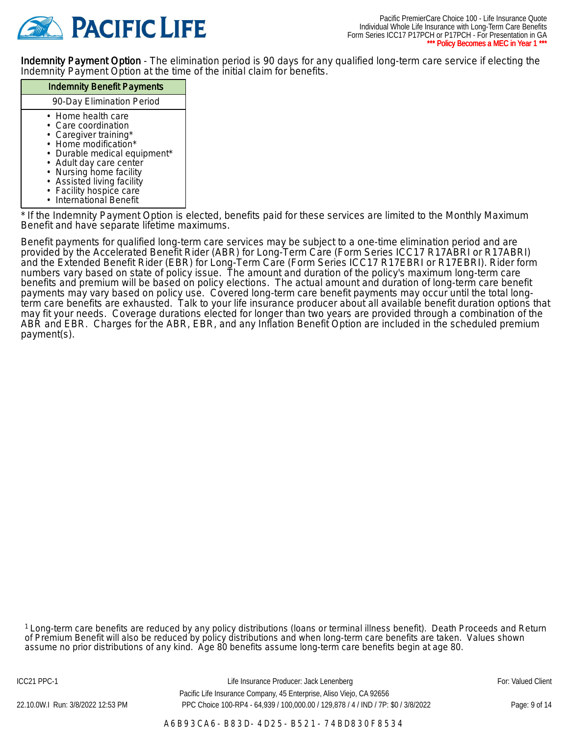

Indemnity Payment Option - The elimination period is 90 days for any qualified long-term care service if electing the Indemnity Payment Option at the time of the initial claim for benefits.

#### Indemnity Benefit Payments 90-Day Elimination Period • Home health care Care coordination • Caregiver training\* • Home modification\* • Durable medical equipment\* • Adult day care center • Nursing home facility • Assisted living facility • Facility hospice care

• International Benefit

\* If the Indemnity Payment Option is elected, benefits paid for these services are limited to the Monthly Maximum Benefit and have separate lifetime maximums.

Benefit payments for qualified long-term care services may be subject to a one-time elimination period and are provided by the Accelerated Benefit Rider (ABR) for Long-Term Care (Form Series ICC17 R17ABRI or R17ABRI) and the Extended Benefit Rider (EBR) for Long-Term Care (Form Series ICC17 R17EBRI or R17EBRI). Rider form numbers vary based on state of policy issue. The amount and duration of the policy's maximum long-term care benefits and premium will be based on policy elections. The actual amount and duration of long-term care benefit payments may vary based on policy use. Covered long-term care benefit payments may occur until the total longterm care benefits are exhausted. Talk to your life insurance producer about all available benefit duration options that may fit your needs. Coverage durations elected for longer than two years are provided through a combination of the ABR and EBR. Charges for the ABR, EBR, and any Inflation Benefit Option are included in the scheduled premium payment(s).

<sup>1</sup> Long-term care benefits are reduced by any policy distributions (loans or terminal illness benefit). Death Proceeds and Return of Premium Benefit will also be reduced by policy distributions and when long-term care benefits are taken. Values shown assume no prior distributions of any kind. Age 80 benefits assume long-term care benefits begin at age 80.

ICC21 PPC-1 **Example 20 For: Valued Client** Life Insurance Producer: Jack Lenenberg **Fore For: Valued Client** Pacific Life Insurance Company, 45 Enterprise, Aliso Viejo, CA 92656 22.10.0W.I Run: 3/8/2022 12:53 PM PPC Choice 100-RP4 - 64,939 / 100,000.00 / 129,878 / 4 / IND / 7P: \$0 / 3/8/2022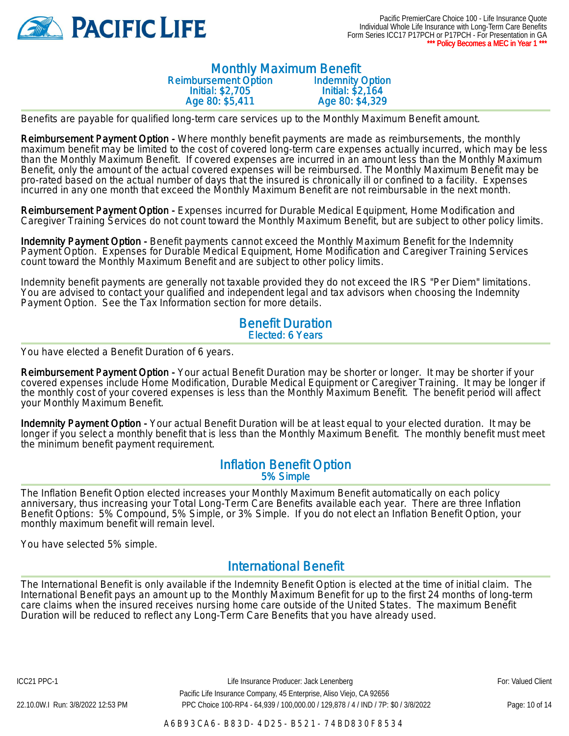

#### Monthly Maximum Benefit Reimbursement Option Initial: \$2,705 Age 80: \$5,411 Indemnity Option Initial: \$2,164 Age 80: \$4,329

Benefits are payable for qualified long-term care services up to the Monthly Maximum Benefit amount.

Reimbursement Payment Option - Where monthly benefit payments are made as reimbursements, the monthly maximum benefit may be limited to the cost of covered long-term care expenses actually incurred, which may be less than the Monthly Maximum Benefit. If covered expenses are incurred in an amount less than the Monthly Maximum Benefit, only the amount of the actual covered expenses will be reimbursed. The Monthly Maximum Benefit may be pro-rated based on the actual number of days that the insured is chronically ill or confined to a facility. Expenses incurred in any one month that exceed the Monthly Maximum Benefit are not reimbursable in the next month.

Reimbursement Payment Option - Expenses incurred for Durable Medical Equipment, Home Modification and Caregiver Training Services do not count toward the Monthly Maximum Benefit, but are subject to other policy limits.

Indemnity Payment Option - Benefit payments cannot exceed the Monthly Maximum Benefit for the Indemnity Payment Option. Expenses for Durable Medical Equipment, Home Modification and Caregiver Training Services count toward the Monthly Maximum Benefit and are subject to other policy limits.

Indemnity benefit payments are generally not taxable provided they do not exceed the IRS "Per Diem" limitations. You are advised to contact your qualified and independent legal and tax advisors when choosing the Indemnity Payment Option. See the Tax Information section for more details.

#### Benefit Duration Elected: 6 Years

You have elected a Benefit Duration of 6 years.

Reimbursement Payment Option - Your actual Benefit Duration may be shorter or longer. It may be shorter if your covered expenses include Home Modification, Durable Medical Equipment or Caregiver Training. It may be longer if the monthly cost of your covered expenses is less than the Monthly Maximum Benefit. The benefit period will affect your Monthly Maximum Benefit.

Indemnity Payment Option - Your actual Benefit Duration will be at least equal to your elected duration. It may be longer if you select a monthly benefit that is less than the Monthly Maximum Benefit. The monthly benefit must meet the minimum benefit payment requirement.

#### Inflation Benefit Option 5% Simple

The Inflation Benefit Option elected increases your Monthly Maximum Benefit automatically on each policy anniversary, thus increasing your Total Long-Term Care Benefits available each year. There are three Inflation Benefit Options: 5% Compound, 5% Simple, or 3% Simple. If you do not elect an Inflation Benefit Option, your monthly maximum benefit will remain level.

You have selected 5% simple.

### International Benefit

The International Benefit is only available if the Indemnity Benefit Option is elected at the time of initial claim. The International Benefit pays an amount up to the Monthly Maximum Benefit for up to the first 24 months of long-term care claims when the insured receives nursing home care outside of the United States. The maximum Benefit Duration will be reduced to reflect any Long-Term Care Benefits that you have already used.

ICC21 PPC-1 **Example 20 For: Valued Client** Life Insurance Producer: Jack Lenenberg **Fore For: Valued Client** Pacific Life Insurance Company, 45 Enterprise, Aliso Viejo, CA 92656 22.10.0W.I Run: 3/8/2022 12:53 PM PPC Choice 100-RP4 - 64,939 / 100,000.00 / 129,878 / 4 / IND / 7P: \$0 / 3/8/2022

A6B93CA6-B83D-4D25-B521-74BD830F8534

Page: 10 of 14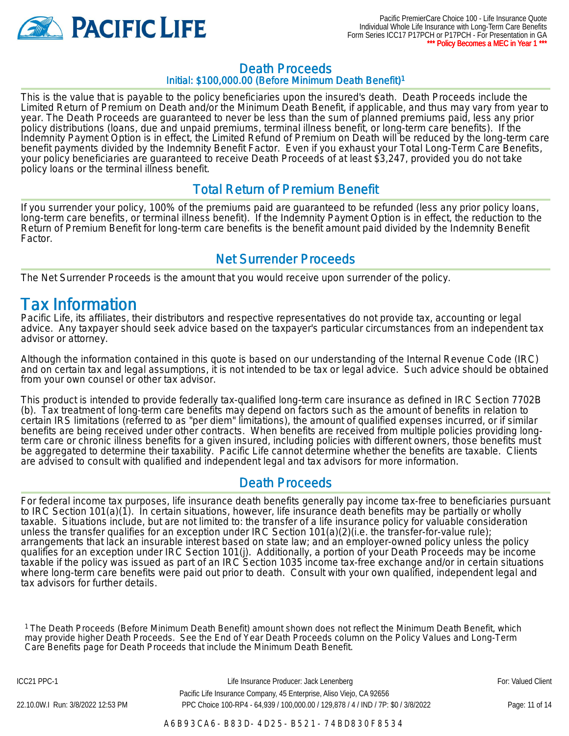

## Death Proceeds

Initial: \$100,000.00 (Before Minimum Death Benefit)<sup>1</sup>

This is the value that is payable to the policy beneficiaries upon the insured's death. Death Proceeds include the Limited Return of Premium on Death and/or the Minimum Death Benefit, if applicable, and thus may vary from year to year. The Death Proceeds are guaranteed to never be less than the sum of planned premiums paid, less any prior policy distributions (loans, due and unpaid premiums, terminal illness benefit, or long-term care benefits). If the Indemnity Payment Option is in effect, the Limited Refund of Premium on Death will be reduced by the long-term care benefit payments divided by the Indemnity Benefit Factor. Even if you exhaust your Total Long-Term Care Benefits, your policy beneficiaries are guaranteed to receive Death Proceeds of at least \$3,247, provided you do not take policy loans or the terminal illness benefit.

### Total Return of Premium Benefit

If you surrender your policy, 100% of the premiums paid are guaranteed to be refunded (less any prior policy loans, long-term care benefits, or terminal illness benefit). If the Indemnity Payment Option is in effect, the reduction to the Return of Premium Benefit for long-term care benefits is the benefit amount paid divided by the Indemnity Benefit Factor.

### Net Surrender Proceeds

The Net Surrender Proceeds is the amount that you would receive upon surrender of the policy.

## Tax Information

Pacific Life, its affiliates, their distributors and respective representatives do not provide tax, accounting or legal advice. Any taxpayer should seek advice based on the taxpayer's particular circumstances from an independent tax advisor or attorney.

Although the information contained in this quote is based on our understanding of the Internal Revenue Code (IRC) and on certain tax and legal assumptions, it is not intended to be tax or legal advice. Such advice should be obtained from your own counsel or other tax advisor.

This product is intended to provide federally tax-qualified long-term care insurance as defined in IRC Section 7702B (b). Tax treatment of long-term care benefits may depend on factors such as the amount of benefits in relation to certain IRS limitations (referred to as "per diem" limitations), the amount of qualified expenses incurred, or if similar benefits are being received under other contracts. When benefits are received from multiple policies providing longterm care or chronic illness benefits for a given insured, including policies with different owners, those benefits must be aggregated to determine their taxability. Pacific Life cannot determine whether the benefits are taxable. Clients are advised to consult with qualified and independent legal and tax advisors for more information.

### Death Proceeds

For federal income tax purposes, life insurance death benefits generally pay income tax-free to beneficiaries pursuant to IRC Section 101(a)(1). In certain situations, however, life insurance death benefits may be partially or wholly taxable. Situations include, but are not limited to: the transfer of a life insurance policy for valuable consideration unless the transfer qualifies for an exception under IRC Section 101(a)(2)(i.e. the transfer-for-value rule); arrangements that lack an insurable interest based on state law; and an employer-owned policy unless the policy qualifies for an exception under IRC Section 101(j). Additionally, a portion of your Death Proceeds may be income taxable if the policy was issued as part of an IRC Section 1035 income tax-free exchange and/or in certain situations where long-term care benefits were paid out prior to death. Consult with your own qualified, independent legal and tax advisors for further details.

<sup>1</sup>The Death Proceeds (Before Minimum Death Benefit) amount shown does not reflect the Minimum Death Benefit, which may provide higher Death Proceeds. See the End of Year Death Proceeds column on the Policy Values and Long-Term Care Benefits page for Death Proceeds that include the Minimum Death Benefit.

ICC21 PPC-1 **Example 20 For: Valued Client** Life Insurance Producer: Jack Lenenberg **Fore For: Valued Client** Pacific Life Insurance Company, 45 Enterprise, Aliso Viejo, CA 92656 22.10.0W.I Run: 3/8/2022 12:53 PM PPC Choice 100-RP4 - 64,939 / 100,000.00 / 129,878 / 4 / IND / 7P: \$0 / 3/8/2022

Page: 11 of 14

A6B93CA6-B83D-4D25-B521-74BD830F8534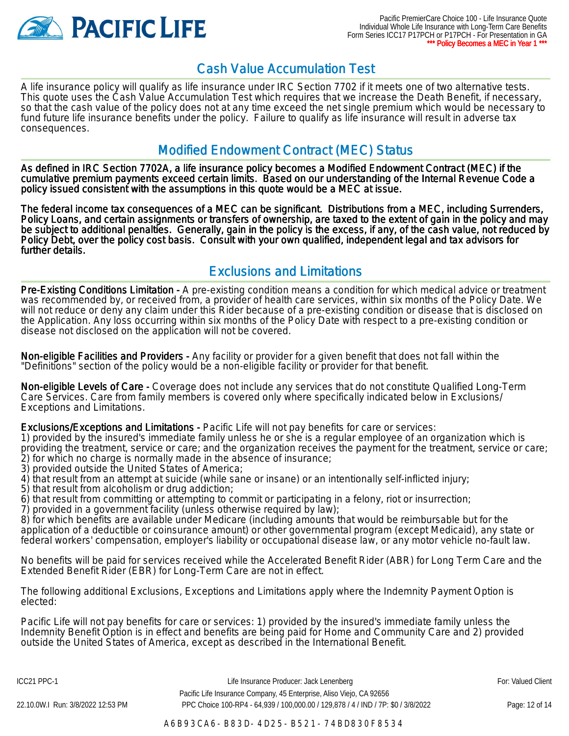

## Cash Value Accumulation Test

A life insurance policy will qualify as life insurance under IRC Section 7702 if it meets one of two alternative tests. This quote uses the Cash Value Accumulation Test which requires that we increase the Death Benefit, if necessary, so that the cash value of the policy does not at any time exceed the net single premium which would be necessary to fund future life insurance benefits under the policy. Failure to qualify as life insurance will result in adverse tax consequences.

### Modified Endowment Contract (MEC) Status

As defined in IRC Section 7702A, a life insurance policy becomes a Modified Endowment Contract (MEC) if the cumulative premium payments exceed certain limits. Based on our understanding of the Internal Revenue Code a policy issued consistent with the assumptions in this quote would be a MEC at issue.

The federal income tax consequences of a MEC can be significant. Distributions from a MEC, including Surrenders, Policy Loans, and certain assignments or transfers of ownership, are taxed to the extent of gain in the policy and may be subject to additional penalties. Generally, gain in the policy is the excess, if any, of the cash value, not reduced by Policy Debt, over the policy cost basis. Consult with your own qualified, independent legal and tax advisors for further details.

## Exclusions and Limitations

Pre-Existing Conditions Limitation - A pre-existing condition means a condition for which medical advice or treatment was recommended by, or received from, a provider of health care services, within six months of the Policy Date. We will not reduce or deny any claim under this Rider because of a pre-existing condition or disease that is disclosed on the Application. Any loss occurring within six months of the Policy Date with respect to a pre-existing condition or disease not disclosed on the application will not be covered.

Non-eligible Facilities and Providers - Any facility or provider for a given benefit that does not fall within the "Definitions" section of the policy would be a non-eligible facility or provider for that benefit.

Non-eligible Levels of Care - Coverage does not include any services that do not constitute Qualified Long-Term Care Services. Care from family members is covered only where specifically indicated below in Exclusions/ Exceptions and Limitations.

Exclusions/Exceptions and Limitations - Pacific Life will not pay benefits for care or services:

1) provided by the insured's immediate family unless he or she is a regular employee of an organization which is providing the treatment, service or care; and the organization receives the payment for the treatment, service or care; 2) for which no charge is normally made in the absence of insurance;

3) provided outside the United States of America;

4) that result from an attempt at suicide (while sane or insane) or an intentionally self-inflicted injury;

5) that result from alcoholism or drug addiction;

6) that result from committing or attempting to commit or participating in a felony, riot or insurrection;

7) provided in a government facility (unless otherwise required by law);

8) for which benefits are available under Medicare (including amounts that would be reimbursable but for the application of a deductible or coinsurance amount) or other governmental program (except Medicaid), any state or federal workers' compensation, employer's liability or occupational disease law, or any motor vehicle no-fault law.

No benefits will be paid for services received while the Accelerated Benefit Rider (ABR) for Long Term Care and the Extended Benefit Rider (EBR) for Long-Term Care are not in effect.

The following additional Exclusions, Exceptions and Limitations apply where the Indemnity Payment Option is elected:

Pacific Life will not pay benefits for care or services: 1) provided by the insured's immediate family unless the Indemnity Benefit Option is in effect and benefits are being paid for Home and Community Care and 2) provided outside the United States of America, except as described in the International Benefit.